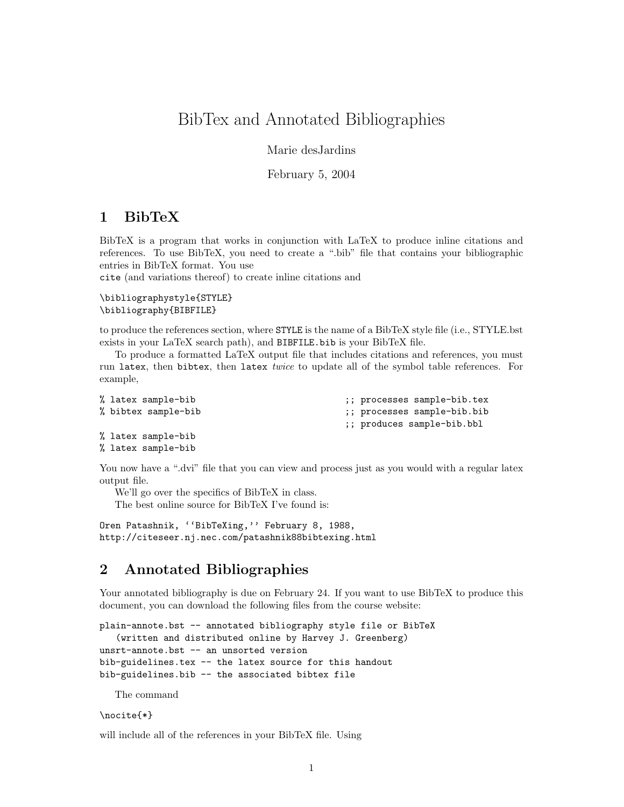# BibTex and Annotated Bibliographies

Marie desJardins

February 5, 2004

# 1 BibTeX

BibTeX is a program that works in conjunction with LaTeX to produce inline citations and references. To use BibTeX, you need to create a ".bib" file that contains your bibliographic entries in BibTeX format. You use

cite (and variations thereof) to create inline citations and

```
\bibliographystyle{STYLE}
\bibliography{BIBFILE}
```
to produce the references section, where STYLE is the name of a BibTeX style file (i.e., STYLE.bst exists in your LaTeX search path), and BIBFILE.bib is your BibTeX file.

To produce a formatted LaTeX output file that includes citations and references, you must run latex, then bibtex, then latex twice to update all of the symbol table references. For example,

```
% latex sample-bib ;; processes sample-bib.tex
% bibtex sample-bib ;; processes sample-bib.bib
                                  ;; produces sample-bib.bbl
% latex sample-bib
```

```
% latex sample-bib
```
You now have a ".dvi" file that you can view and process just as you would with a regular latex output file.

We'll go over the specifics of BibTeX in class. The best online source for BibTeX I've found is:

Oren Patashnik, ''BibTeXing,'' February 8, 1988, http://citeseer.nj.nec.com/patashnik88bibtexing.html

# 2 Annotated Bibliographies

Your annotated bibliography is due on February 24. If you want to use BibTeX to produce this document, you can download the following files from the course website:

```
plain-annote.bst -- annotated bibliography style file or BibTeX
   (written and distributed online by Harvey J. Greenberg)
unsrt-annote.bst -- an unsorted version
bib-guidelines.tex -- the latex source for this handout
bib-guidelines.bib -- the associated bibtex file
```
The command

\nocite{\*}

will include all of the references in your BibTeX file. Using